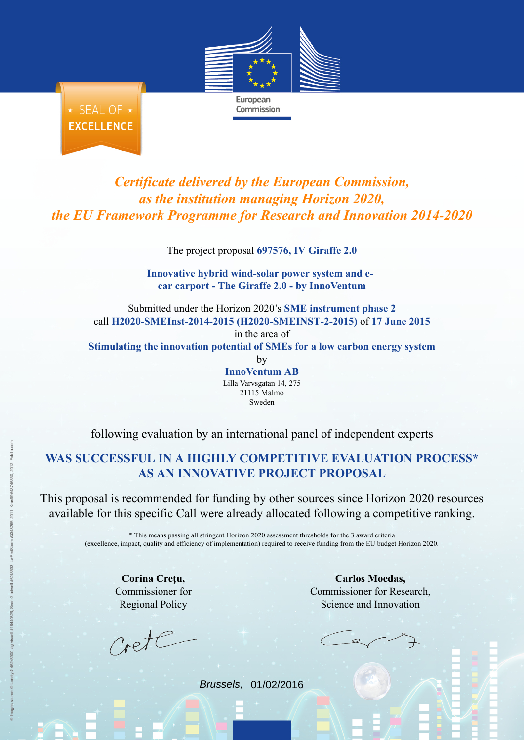

★ SEAL OF ★ **EXCELLENCE** 

## *Certificate delivered by the European Commission, as the institution managing Horizon 2020, the EU Framework Programme for Research and Innovation 2014-2020*

The project proposal **697576, IV Giraffe 2.0**

**Innovative hybrid wind-solar power system and ecar carport - The Giraffe 2.0 - by InnoVentum**

Submitted under the Horizon 2020's **SME instrument phase 2** call **H2020-SMEInst-2014-2015 (H2020-SMEINST-2-2015)** of **17 June 2015** in the area of

**Stimulating the innovation potential of SMEs for a low carbon energy system** by

**InnoVentum AB** Lilla Varvsgatan 14, 275 21115 Malmo Sweden

following evaluation by an international panel of independent experts

## **WAS SUCCESSFUL IN A HIGHLY COMPETITIVE [EVALUATION PROCESS\\*](http://ec.europa.eu/research/participants/portal/desktop/en/funding/sme_participation.html) AS AN INNOVATIVE PROJECT PROPOSAL**

This proposal is recommended for funding by other sources since Horizon 2020 resources available for this specific Call were already allocated following a competitive ranking.

\* This means passing all stringent Horizon 2020 assessment thresholds for the 3 award criteria (excellence, impact, quality and efficiency of implementation) required to receive funding from the EU budget Horizon 2020.

**Corina Creţu,** Commissioner for Regional Policy

rete

**Carlos Moedas,** Commissioner for Research, Science and Innovation

Brussels, 01/02/2016